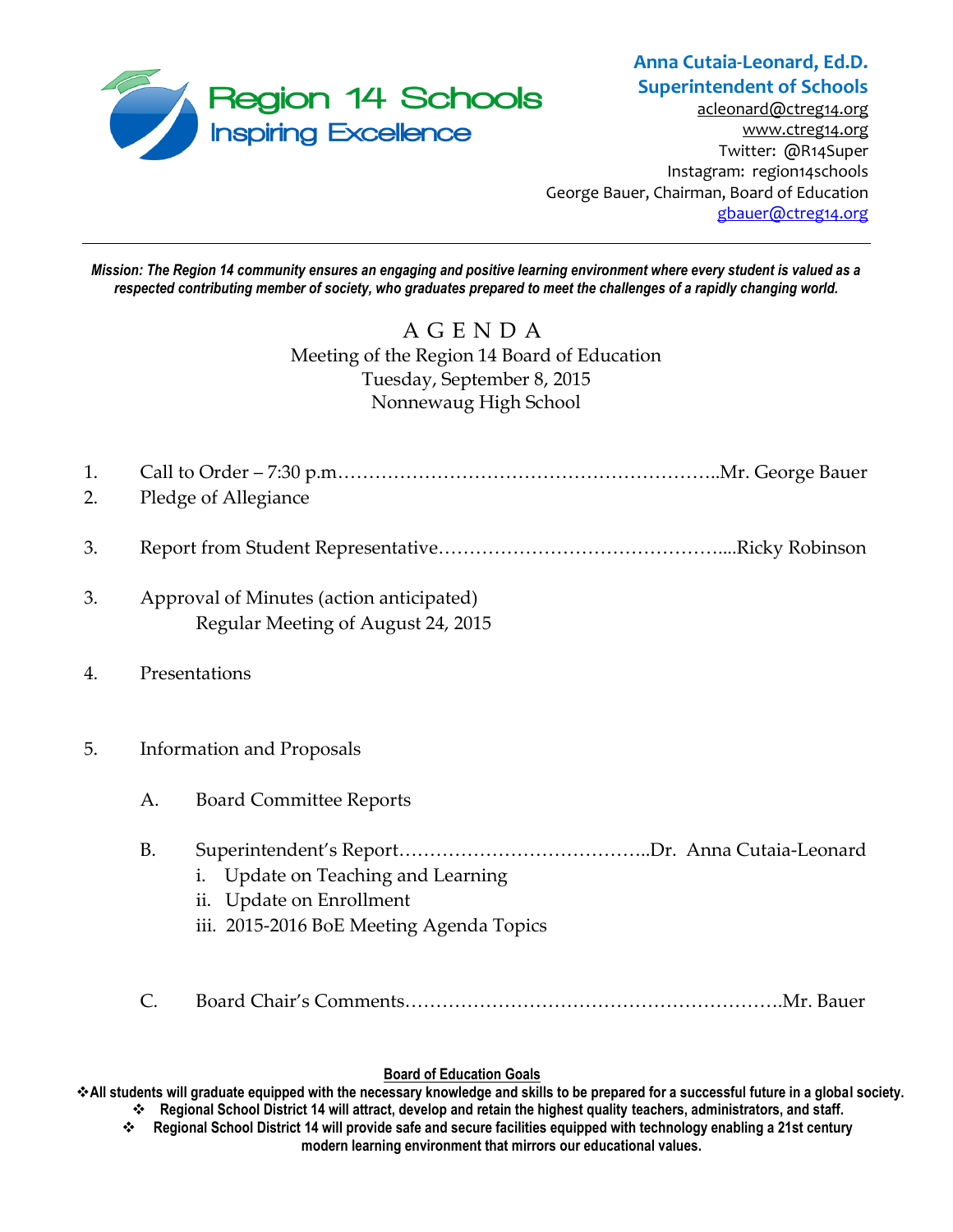

## **Anna Cutaia-Leonard, Ed.D. Superintendent of Schools**

[acleonard@ctreg14.org](mailto:acleonard@ctreg14.org) [www.ctreg14.org](http://www.ctreg14.org/) Twitter: @R14Super Instagram: region14schools George Bauer, Chairman, Board of Education [gbauer@ctreg14.org](mailto:gbauer@ctreg14.org)

*Mission: The Region 14 community ensures an engaging and positive learning environment where every student is valued as a respected contributing member of society, who graduates prepared to meet the challenges of a rapidly changing world.*

# A G E N D A Meeting of the Region 14 Board of Education Tuesday, September 8, 2015 Nonnewaug High School

| 1.<br>2. | Pledge of Allegiance                                                           |                                                                                                               |
|----------|--------------------------------------------------------------------------------|---------------------------------------------------------------------------------------------------------------|
| 3.       |                                                                                |                                                                                                               |
|          |                                                                                |                                                                                                               |
| 3.       | Approval of Minutes (action anticipated)<br>Regular Meeting of August 24, 2015 |                                                                                                               |
| 4.       | Presentations                                                                  |                                                                                                               |
| 5.       | <b>Information and Proposals</b>                                               |                                                                                                               |
|          | А.                                                                             | <b>Board Committee Reports</b>                                                                                |
|          | <b>B.</b>                                                                      | Update on Teaching and Learning<br>i.<br>ii. Update on Enrollment<br>iii. 2015-2016 BoE Meeting Agenda Topics |
|          |                                                                                |                                                                                                               |

### **Board of Education Goals**

**All students will graduate equipped with the necessary knowledge and skills to be prepared for a successful future in a global society. Regional School District 14 will attract, develop and retain the highest quality teachers, administrators, and staff.**

 **Regional School District 14 will provide safe and secure facilities equipped with technology enabling a 21st century modern learning environment that mirrors our educational values.**